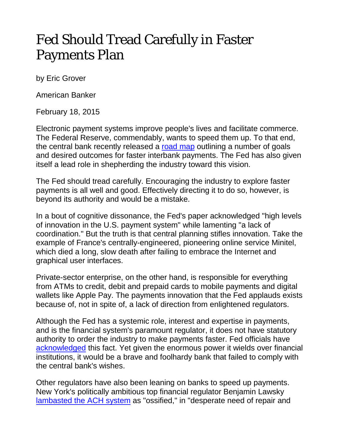## Fed Should Tread Carefully in Faster Payments Plan

by Eric Grover

American Banker

February 18, 2015

Electronic payment systems improve people's lives and facilitate commerce. The Federal Reserve, commendably, wants to speed them up. To that end, the central bank recently released a [road map](https://fedpaymentsimprovement.org/wp-content/uploads/strategies-improving-us-payment-system.pdf) outlining a number of goals and desired outcomes for faster interbank payments. The Fed has also given itself a lead role in shepherding the industry toward this vision.

The Fed should tread carefully. Encouraging the industry to explore faster payments is all well and good. Effectively directing it to do so, however, is beyond its authority and would be a mistake.

In a bout of cognitive dissonance, the Fed's paper acknowledged "high levels of innovation in the U.S. payment system" while lamenting "a lack of coordination." But the truth is that central planning stifles innovation. Take the example of France's centrally-engineered, pioneering online service Minitel, which died a long, slow death after failing to embrace the Internet and graphical user interfaces.

Private-sector enterprise, on the other hand, is responsible for everything from ATMs to credit, debit and prepaid cards to mobile payments and digital wallets like Apple Pay. The payments innovation that the Fed applauds exists because of, not in spite of, a lack of direction from enlightened regulators.

Although the Fed has a systemic role, interest and expertise in payments, and is the financial system's paramount regulator, it does not have statutory authority to order the industry to make payments faster. Fed officials have [acknowledged](http://www.americanbanker.com/news/consumer-finance/the-fed-has-a-vision-for-faster-payments-does-it-havehttp:/www.americanbanker.com/news/consumer-finance/the-fed-has-a-vision-for-faster-payments-does-it-have-the-will-1072362-1.html-the-will-1072362-1.html) this fact. Yet given the enormous power it wields over financial institutions, it would be a brave and foolhardy bank that failed to comply with the central bank's wishes.

Other regulators have also been leaning on banks to speed up payments. New York's politically ambitious top financial regulator Benjamin Lawsky [lambasted the ACH system](http://www.americanbanker.com/news/law-regulation/lawsky-to-banks-speed-up-payments-innovation-or-else-1071753-1.html) as "ossified," in "desperate need of repair and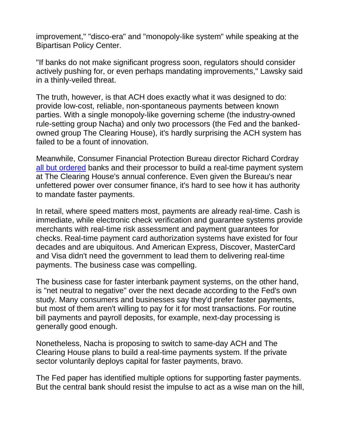improvement," "disco-era" and "monopoly-like system" while speaking at the Bipartisan Policy Center.

"If banks do not make significant progress soon, regulators should consider actively pushing for, or even perhaps mandating improvements," Lawsky said in a thinly-veiled threat.

The truth, however, is that ACH does exactly what it was designed to do: provide low-cost, reliable, non-spontaneous payments between known parties. With a single monopoly-like governing scheme (the industry-owned rule-setting group Nacha) and only two processors (the Fed and the bankedowned group The Clearing House), it's hardly surprising the ACH system has failed to be a fount of innovation.

Meanwhile, Consumer Financial Protection Bureau director Richard Cordray [all but ordered](http://www.consumerfinance.gov/newsroom/prepared-remarks-of-cfpb-director-richard-cordray-at-the-clearing-house/) banks and their processor to build a real-time payment system at The Clearing House's annual conference. Even given the Bureau's near unfettered power over consumer finance, it's hard to see how it has authority to mandate faster payments.

In retail, where speed matters most, payments are already real-time. Cash is immediate, while electronic check verification and guarantee systems provide merchants with real-time risk assessment and payment guarantees for checks. Real-time payment card authorization systems have existed for four decades and are ubiquitous. And American Express, Discover, MasterCard and Visa didn't need the government to lead them to delivering real-time payments. The business case was compelling.

The business case for faster interbank payment systems, on the other hand, is "net neutral to negative" over the next decade according to the Fed's own study. Many consumers and businesses say they'd prefer faster payments, but most of them aren't willing to pay for it for most transactions. For routine bill payments and payroll deposits, for example, next-day processing is generally good enough.

Nonetheless, Nacha is proposing to switch to same-day ACH and The Clearing House plans to build a real-time payments system. If the private sector voluntarily deploys capital for faster payments, bravo.

The Fed paper has identified multiple options for supporting faster payments. But the central bank should resist the impulse to act as a wise man on the hill,